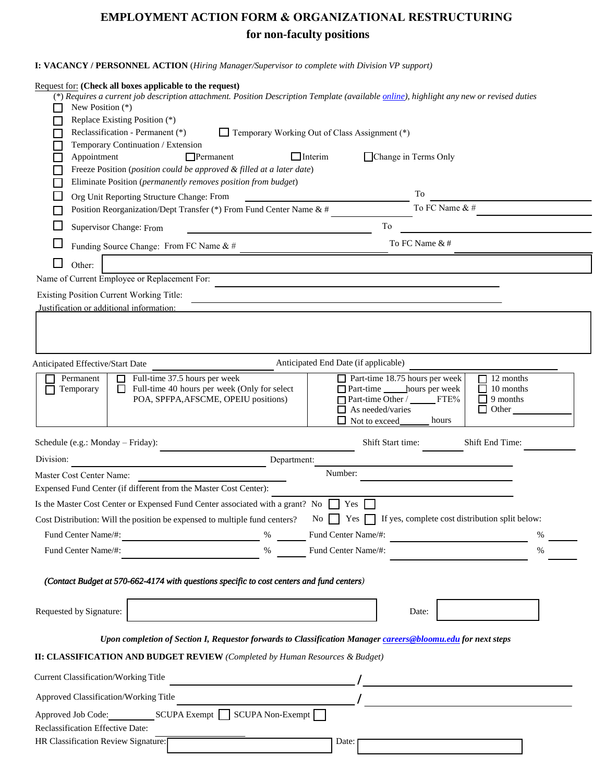## **EMPLOYMENT ACTION FORM & ORGANIZATIONAL RESTRUCTURING for non-faculty positions**

## **I: VACANCY / PERSONNEL ACTION** (*Hiring Manager/Supervisor to complete with Division VP support)*

| New Position (*)<br>Appointment | Request for: (Check all boxes applicable to the request)<br>(*) Requires a current job description attachment. Position Description Template (available online), highlight any new or revised duties<br>Replace Existing Position (*)<br>Reclassification - Permanent (*)<br>Temporary Working Out of Class Assignment (*)<br>Temporary Continuation / Extension<br>$\Box$ Interim<br>$\Box$ Permanent<br>Change in Terms Only<br>Freeze Position (position could be approved & filled at a later date)                                                                                                                                                                                                                                                                                                                                                                                                                                                                                                                                                                                                                                                                                                                                                                                                                                                                                                                                                                                                                                                                                                                                                                                                                                                                                                                                                                                                                                                                                                                                                                                                                                                                                                                                                                                                                                                                                                                                                                                                                                                                                                                                                                         |  |
|---------------------------------|---------------------------------------------------------------------------------------------------------------------------------------------------------------------------------------------------------------------------------------------------------------------------------------------------------------------------------------------------------------------------------------------------------------------------------------------------------------------------------------------------------------------------------------------------------------------------------------------------------------------------------------------------------------------------------------------------------------------------------------------------------------------------------------------------------------------------------------------------------------------------------------------------------------------------------------------------------------------------------------------------------------------------------------------------------------------------------------------------------------------------------------------------------------------------------------------------------------------------------------------------------------------------------------------------------------------------------------------------------------------------------------------------------------------------------------------------------------------------------------------------------------------------------------------------------------------------------------------------------------------------------------------------------------------------------------------------------------------------------------------------------------------------------------------------------------------------------------------------------------------------------------------------------------------------------------------------------------------------------------------------------------------------------------------------------------------------------------------------------------------------------------------------------------------------------------------------------------------------------------------------------------------------------------------------------------------------------------------------------------------------------------------------------------------------------------------------------------------------------------------------------------------------------------------------------------------------------------------------------------------------------------------------------------------------------|--|
|                                 | Eliminate Position (permanently removes position from budget)                                                                                                                                                                                                                                                                                                                                                                                                                                                                                                                                                                                                                                                                                                                                                                                                                                                                                                                                                                                                                                                                                                                                                                                                                                                                                                                                                                                                                                                                                                                                                                                                                                                                                                                                                                                                                                                                                                                                                                                                                                                                                                                                                                                                                                                                                                                                                                                                                                                                                                                                                                                                                   |  |
|                                 | To<br>Org Unit Reporting Structure Change: From                                                                                                                                                                                                                                                                                                                                                                                                                                                                                                                                                                                                                                                                                                                                                                                                                                                                                                                                                                                                                                                                                                                                                                                                                                                                                                                                                                                                                                                                                                                                                                                                                                                                                                                                                                                                                                                                                                                                                                                                                                                                                                                                                                                                                                                                                                                                                                                                                                                                                                                                                                                                                                 |  |
|                                 | To FC Name & #<br>Position Reorganization/Dept Transfer (*) From Fund Center Name & #                                                                                                                                                                                                                                                                                                                                                                                                                                                                                                                                                                                                                                                                                                                                                                                                                                                                                                                                                                                                                                                                                                                                                                                                                                                                                                                                                                                                                                                                                                                                                                                                                                                                                                                                                                                                                                                                                                                                                                                                                                                                                                                                                                                                                                                                                                                                                                                                                                                                                                                                                                                           |  |
|                                 | To<br>Supervisor Change: From                                                                                                                                                                                                                                                                                                                                                                                                                                                                                                                                                                                                                                                                                                                                                                                                                                                                                                                                                                                                                                                                                                                                                                                                                                                                                                                                                                                                                                                                                                                                                                                                                                                                                                                                                                                                                                                                                                                                                                                                                                                                                                                                                                                                                                                                                                                                                                                                                                                                                                                                                                                                                                                   |  |
|                                 | To FC Name &#<br>Funding Source Change: From FC Name & #</td><td></td></tr><tr><td>Other:</td><td></td><td></td></tr><tr><td></td><td>Name of Current Employee or Replacement For:</td><td></td></tr><tr><td></td><td>Existing Position Current Working Title:</td><td></td></tr><tr><td>Justification or additional information:</td><td></td><td></td></tr><tr><td></td><td></td><td></td></tr><tr><td><b>Anticipated Effective/Start Date</b></td><td>Anticipated End Date (if applicable)</td><td></td></tr><tr><td>Permanent<br>Temporary</td><td><math>\Box</math> Part-time 18.75 hours per week<br>Full-time 37.5 hours per week<br><math>\Box</math> 12 months<br>Full-time 40 hours per week (Only for select<br>10 months<br>П<br>POA, SPFPA, AFSCME, OPEIU positions)<br>Part-time Other / FTE%<br>9 months<br><math>\Box</math> As needed/varies<br>Other<br><math>\Box</math> Not to exceed<br>hours</td><td></td></tr><tr><td>Schedule (e.g.: Monday – Friday):</td><td>Shift Start time:<br>Shift End Time:</td><td></td></tr><tr><td>Division:</td><td>Department:</td><td></td></tr><tr><td>Master Cost Center Name:</td><td>Number:</td><td></td></tr><tr><td></td><td>Expensed Fund Center (if different from the Master Cost Center):</td><td></td></tr><tr><td></td><td>Is the Master Cost Center or Expensed Fund Center associated with a grant? No Tes</td><td></td></tr><tr><td></td><td>Cost Distribution: Will the position be expensed to multiple fund centers? No See See See See See See See Section split below:</td><td></td></tr><tr><td>Fund Center Name/#:</td><td>Fund Center Name/#:<br><math>\%</math></td><td>%</td></tr><tr><td>Fund Center Name/#:</td><td>Fund Center Name/#:<br><math display="inline">\%</math></td><td><math>\%</math></td></tr><tr><td></td><td>(Contact Budget at 570-662-4174 with questions specific to cost centers and fund centers)</td><td></td></tr><tr><td>Requested by Signature:</td><td>Date:</td><td></td></tr><tr><td></td><td>Upon completion of Section I, Requestor forwards to Classification Manager careers@bloomu.edu for next steps</td><td></td></tr><tr><td></td><td><b>II: CLASSIFICATION AND BUDGET REVIEW</b> (Completed by Human Resources & Budget)</td><td></td></tr><tr><td><b>Current Classification/Working Title</b></td><td></td><td></td></tr><tr><td>Approved Classification/Working Title</td><td></td><td></td></tr><tr><td></td><td>Approved Job Code: SCUPA Exempt SCUPA Non-Exempt</td><td></td></tr><tr><td>Reclassification Effective Date:</td><td></td><td></td></tr><tr><td>HR Classification Review Signature:</td><td>Date:</td><td></td></tr></tbody></table> |  |